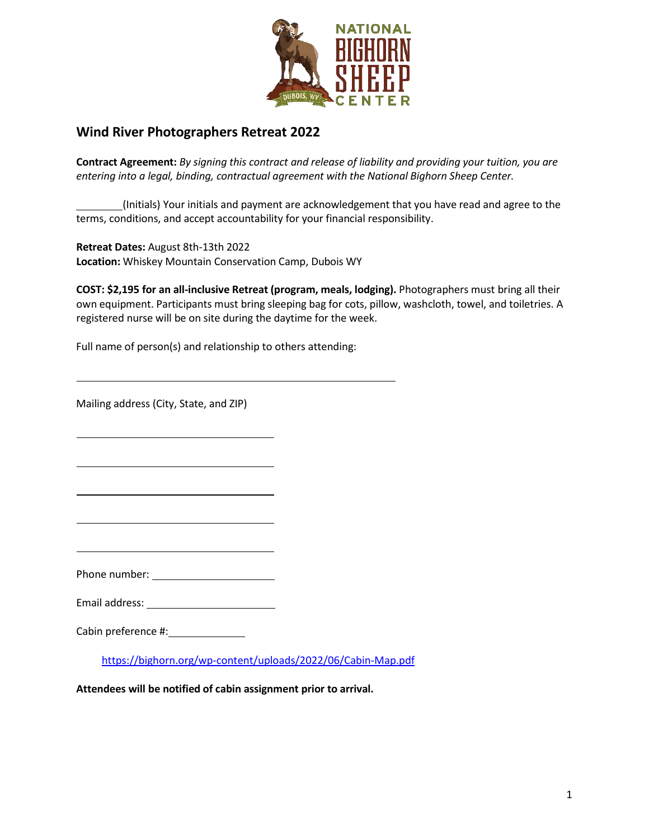

# **Wind River Photographers Retreat 2022**

**Contract Agreement:** *By signing this contract and release of liability and providing your tuition, you are entering into a legal, binding, contractual agreement with the National Bighorn Sheep Center.*

(Initials) Your initials and payment are acknowledgement that you have read and agree to the terms, conditions, and accept accountability for your financial responsibility.

**Retreat Dates:** August 8th-13th 2022 **Location:** Whiskey Mountain Conservation Camp, Dubois WY

**COST: \$2,195 for an all-inclusive Retreat (program, meals, lodging).** Photographers must bring all their own equipment. Participants must bring sleeping bag for cots, pillow, washcloth, towel, and toiletries. A registered nurse will be on site during the daytime for the week.

Full name of person(s) and relationship to others attending:

Mailing address (City, State, and ZIP)

Phone number:

Email address:

Cabin preference #:

<https://bighorn.org/wp-content/uploads/2022/06/Cabin-Map.pdf>

**Attendees will be notified of cabin assignment prior to arrival.**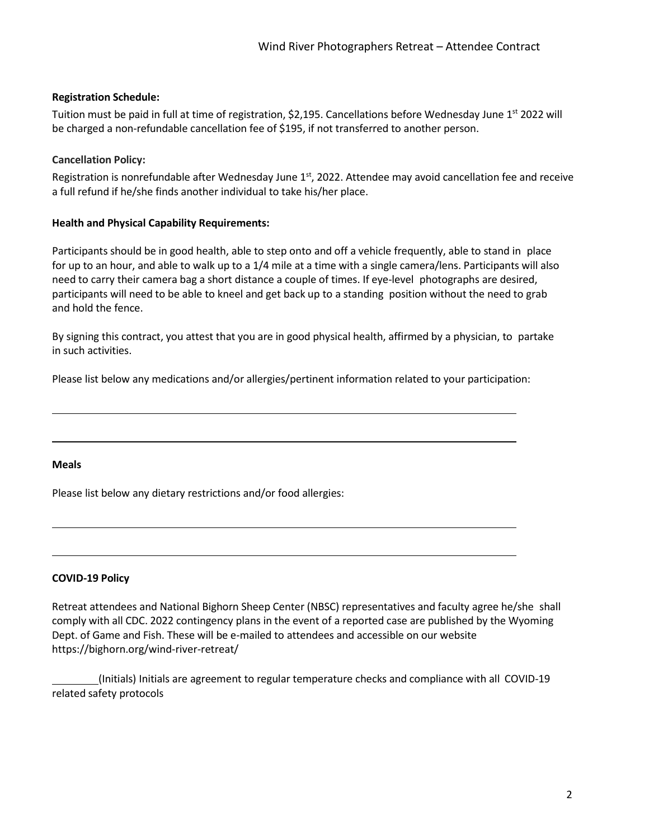### **Registration Schedule:**

Tuition must be paid in full at time of registration, \$2,195. Cancellations before Wednesday June 1<sup>st</sup> 2022 will be charged a non-refundable cancellation fee of \$195, if not transferred to another person.

#### **Cancellation Policy:**

Registration is nonrefundable after Wednesday June  $1<sup>st</sup>$ , 2022. Attendee may avoid cancellation fee and receive a full refund if he/she finds another individual to take his/her place.

#### **Health and Physical Capability Requirements:**

Participants should be in good health, able to step onto and off a vehicle frequently, able to stand in place for up to an hour, and able to walk up to a 1/4 mile at a time with a single camera/lens. Participants will also need to carry their camera bag a short distance a couple of times. If eye-level photographs are desired, participants will need to be able to kneel and get back up to a standing position without the need to grab and hold the fence.

By signing this contract, you attest that you are in good physical health, affirmed by a physician, to partake in such activities.

Please list below any medications and/or allergies/pertinent information related to your participation:

#### **Meals**

Please list below any dietary restrictions and/or food allergies:

#### **COVID-19 Policy**

Retreat attendees and National Bighorn Sheep Center (NBSC) representatives and faculty agree he/she shall comply with all CDC. 2022 contingency plans in the event of a reported case are published by the Wyoming Dept. of Game and Fish. These will be e-mailed to attendees and accessible on our website https://bighorn.org/wind-river-retreat/

 (Initials) Initials are agreement to regular temperature checks and compliance with all COVID-19 related safety protocols